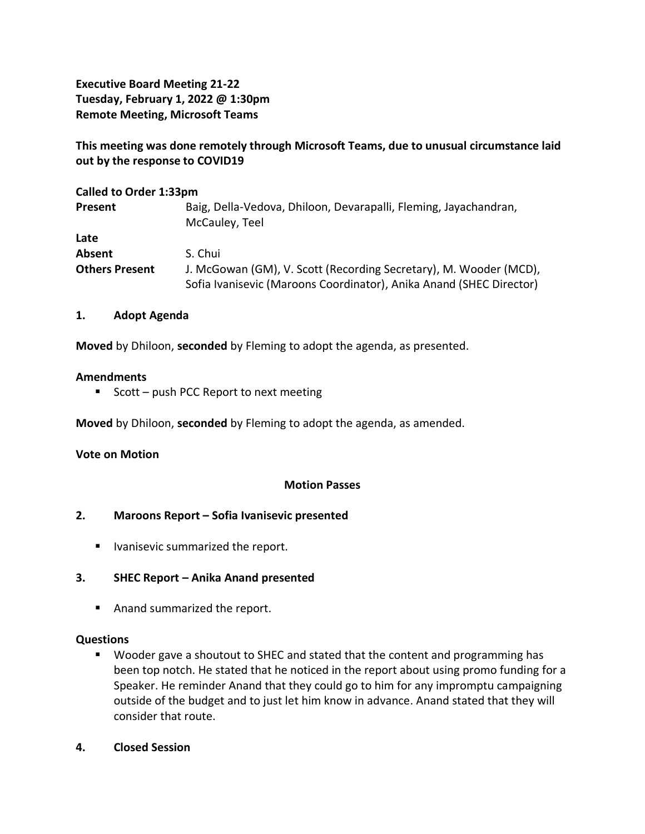**Executive Board Meeting 21-22 Tuesday, February 1, 2022 @ 1:30pm Remote Meeting, Microsoft Teams**

**This meeting was done remotely through Microsoft Teams, due to unusual circumstance laid out by the response to COVID19**

| <b>Called to Order 1:33pm</b> |                                                                                                                                          |
|-------------------------------|------------------------------------------------------------------------------------------------------------------------------------------|
| <b>Present</b>                | Baig, Della-Vedova, Dhiloon, Devarapalli, Fleming, Jayachandran,<br>McCauley, Teel                                                       |
| Late                          |                                                                                                                                          |
| <b>Absent</b>                 | S. Chui                                                                                                                                  |
| <b>Others Present</b>         | J. McGowan (GM), V. Scott (Recording Secretary), M. Wooder (MCD),<br>Sofia Ivanisevic (Maroons Coordinator), Anika Anand (SHEC Director) |

## **1. Adopt Agenda**

**Moved** by Dhiloon, **seconded** by Fleming to adopt the agenda, as presented.

#### **Amendments**

■ Scott – push PCC Report to next meeting

**Moved** by Dhiloon, **seconded** by Fleming to adopt the agenda, as amended.

## **Vote on Motion**

## **Motion Passes**

## **2. Maroons Report – Sofia Ivanisevic presented**

■ Ivanisevic summarized the report.

## **3. SHEC Report – Anika Anand presented**

■ Anand summarized the report.

#### **Questions**

- Wooder gave a shoutout to SHEC and stated that the content and programming has been top notch. He stated that he noticed in the report about using promo funding for a Speaker. He reminder Anand that they could go to him for any impromptu campaigning outside of the budget and to just let him know in advance. Anand stated that they will consider that route.
- **4. Closed Session**